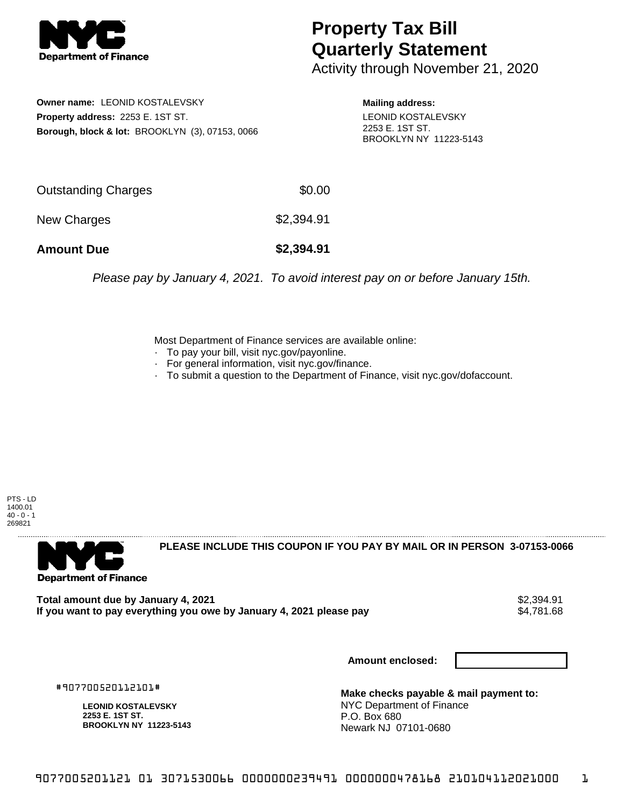

## **Property Tax Bill Quarterly Statement**

Activity through November 21, 2020

**Owner name:** LEONID KOSTALEVSKY **Property address:** 2253 E. 1ST ST. **Borough, block & lot:** BROOKLYN (3), 07153, 0066 **Mailing address:** LEONID KOSTALEVSKY 2253 E. 1ST ST. BROOKLYN NY 11223-5143

| <b>Amount Due</b>   | \$2,394.91 |
|---------------------|------------|
| New Charges         | \$2,394.91 |
| Outstanding Charges | \$0.00     |

Please pay by January 4, 2021. To avoid interest pay on or before January 15th.

Most Department of Finance services are available online:

- · To pay your bill, visit nyc.gov/payonline.
- For general information, visit nyc.gov/finance.
- · To submit a question to the Department of Finance, visit nyc.gov/dofaccount.

PTS - LD 1400.01  $40 - 0 - 1$ 269821



**PLEASE INCLUDE THIS COUPON IF YOU PAY BY MAIL OR IN PERSON 3-07153-0066** 

**Total amount due by January 4, 2021**<br>If you want to pay everything you owe by January 4, 2021 please pay **strategy of the Superior August** \$4,781.68 If you want to pay everything you owe by January 4, 2021 please pay

**Amount enclosed:**

#907700520112101#

**LEONID KOSTALEVSKY 2253 E. 1ST ST. BROOKLYN NY 11223-5143**

**Make checks payable & mail payment to:** NYC Department of Finance P.O. Box 680 Newark NJ 07101-0680